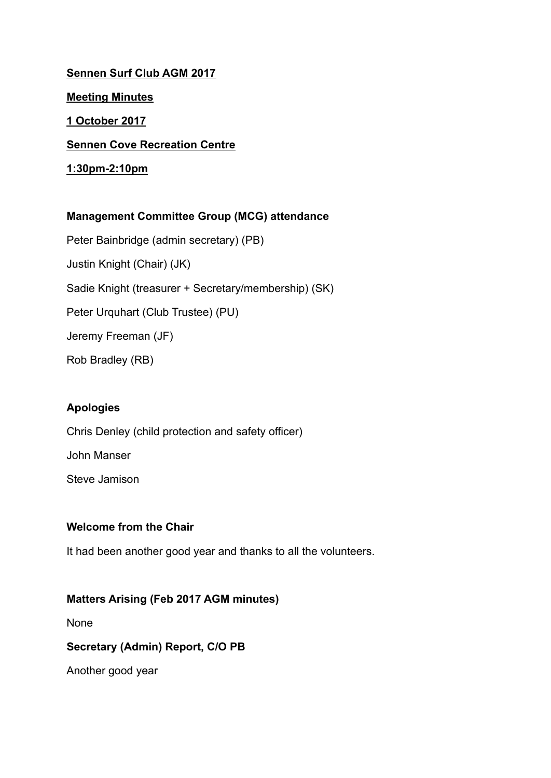**Sennen Surf Club AGM 2017 Meeting Minutes 1 October 2017 Sennen Cove Recreation Centre 1:30pm-2:10pm**

# **Management Committee Group (MCG) attendance**

Peter Bainbridge (admin secretary) (PB) Justin Knight (Chair) (JK) Sadie Knight (treasurer + Secretary/membership) (SK) Peter Urquhart (Club Trustee) (PU) Jeremy Freeman (JF) Rob Bradley (RB)

### **Apologies**

Chris Denley (child protection and safety officer) John Manser Steve Jamison

### **Welcome from the Chair**

It had been another good year and thanks to all the volunteers.

### **Matters Arising (Feb 2017 AGM minutes)**

None

#### **Secretary (Admin) Report, C/O PB**

Another good year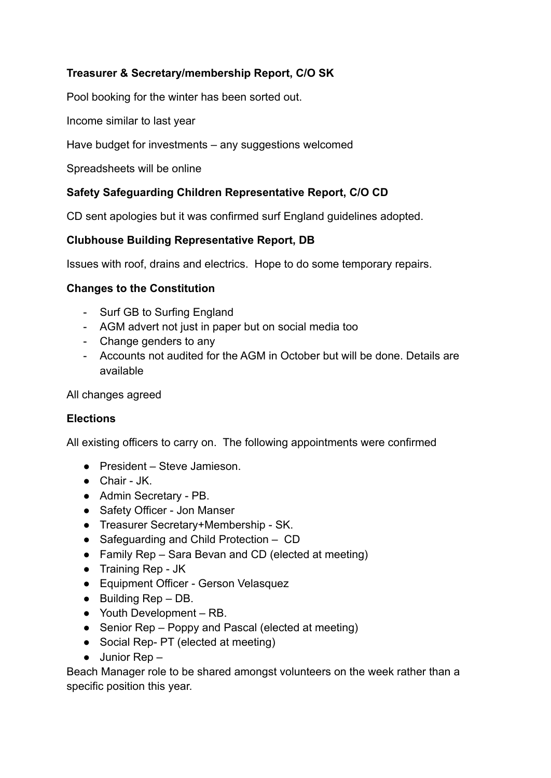# **Treasurer & Secretary/membership Report, C/O SK**

Pool booking for the winter has been sorted out.

Income similar to last year

Have budget for investments – any suggestions welcomed

Spreadsheets will be online

### **Safety Safeguarding Children Representative Report, C/O CD**

CD sent apologies but it was confirmed surf England guidelines adopted.

#### **Clubhouse Building Representative Report, DB**

Issues with roof, drains and electrics. Hope to do some temporary repairs.

#### **Changes to the Constitution**

- Surf GB to Surfing England
- AGM advert not just in paper but on social media too
- Change genders to any
- Accounts not audited for the AGM in October but will be done. Details are available

All changes agreed

#### **Elections**

All existing officers to carry on. The following appointments were confirmed

- President Steve Jamieson.
- Chair JK.
- Admin Secretary PB.
- Safety Officer Jon Manser
- Treasurer Secretary+Membership SK.
- Safeguarding and Child Protection CD
- Family Rep Sara Bevan and CD (elected at meeting)
- Training Rep JK
- Equipment Officer Gerson Velasquez
- Building Rep DB.
- Youth Development RB.
- Senior Rep Poppy and Pascal (elected at meeting)
- Social Rep- PT (elected at meeting)
- $\bullet$  Junior Rep –

Beach Manager role to be shared amongst volunteers on the week rather than a specific position this year.